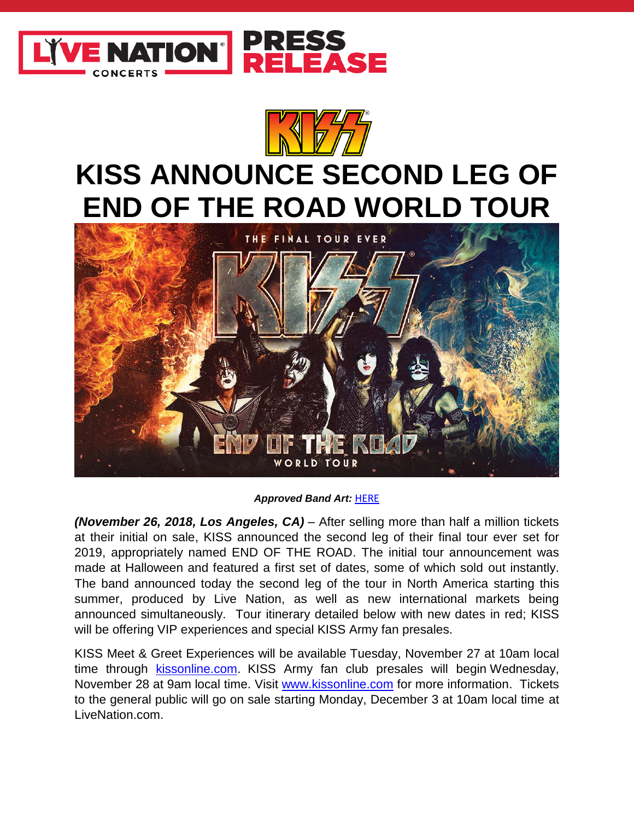

## **KISS ANNOUNCE SECOND LEG OF END OF THE ROAD WORLD TOUR**



## *Approved Band Art:* [HERE](https://www.dropbox.com/sh/ev1yg6g0d1md9c0/AADzK8qRfIyC8K4r5FEmlo07a?dl=0)

*(November 26, 2018, Los Angeles, CA)* – After selling more than half a million tickets at their initial on sale, KISS announced the second leg of their final tour ever set for 2019, appropriately named END OF THE ROAD. The initial tour announcement was made at Halloween and featured a first set of dates, some of which sold out instantly. The band announced today the second leg of the tour in North America starting this summer, produced by Live Nation, as well as new international markets being announced simultaneously. Tour itinerary detailed below with new dates in red; KISS will be offering VIP experiences and special KISS Army fan presales.

KISS Meet & Greet Experiences will be available Tuesday, November 27 at 10am local time through [kissonline.com.](file:///C:/Users/kwashington/AppData/Local/Microsoft/Windows/INetCache/Content.Outlook/9MRZ4KQT/kissonline.com) KISS Army fan club presales will begin Wednesday, November 28 at 9am local time. Visit [www.kissonline.com](https://urldefense.proofpoint.com/v2/url?u=http-3A__www.kissonline.com_&d=DwMGaQ&c=Ftw_YSVcGmqQBvrGwAZugGylNRkk-uER0-5bY94tjsc&r=9-7TNfi188dLheQO5RW-QsMd_SaE-3IhmtIdD5ELN20&m=0gV6qmeHtX2cynx_w5rOyYg0O8Ewr8E0egbTJzQtY2I&s=D2YMFPdQAS8YZdOKzhgwIh_AsEADQCFlLPaWJD7Niec&e=) for more information. Tickets to the general public will go on sale starting Monday, December 3 at 10am local time at LiveNation.com.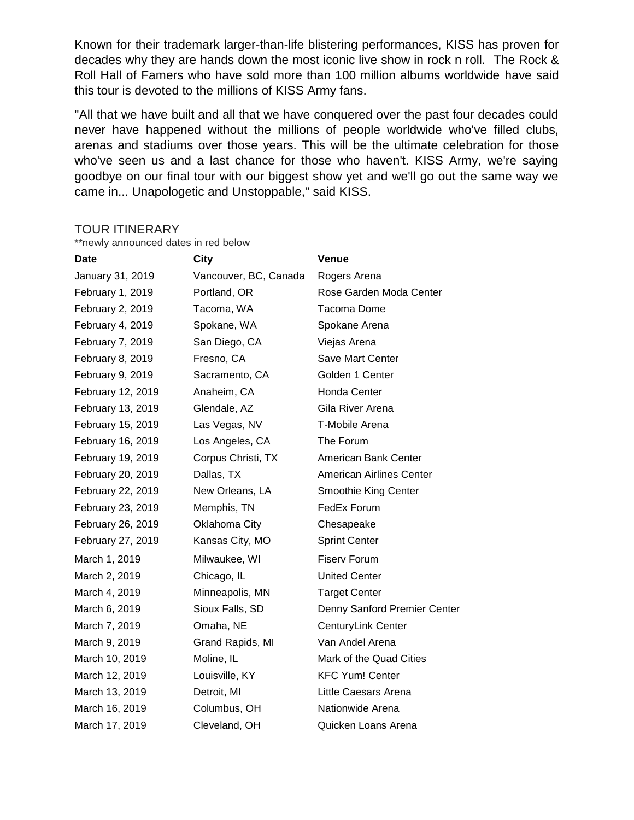Known for their trademark larger-than-life blistering performances, KISS has proven for decades why they are hands down the most iconic live show in rock n roll. The Rock & Roll Hall of Famers who have sold more than 100 million albums worldwide have said this tour is devoted to the millions of KISS Army fans.

"All that we have built and all that we have conquered over the past four decades could never have happened without the millions of people worldwide who've filled clubs, arenas and stadiums over those years. This will be the ultimate celebration for those who've seen us and a last chance for those who haven't. KISS Army, we're saying goodbye on our final tour with our biggest show yet and we'll go out the same way we came in... Unapologetic and Unstoppable," said KISS.

## TOUR ITINERARY

\*\*newly announced dates in red below

| <b>Date</b>       | City                  | <b>Venue</b>                    |
|-------------------|-----------------------|---------------------------------|
| January 31, 2019  | Vancouver, BC, Canada | Rogers Arena                    |
| February 1, 2019  | Portland, OR          | Rose Garden Moda Center         |
| February 2, 2019  | Tacoma, WA            | Tacoma Dome                     |
| February 4, 2019  | Spokane, WA           | Spokane Arena                   |
| February 7, 2019  | San Diego, CA         | Viejas Arena                    |
| February 8, 2019  | Fresno, CA            | <b>Save Mart Center</b>         |
| February 9, 2019  | Sacramento, CA        | Golden 1 Center                 |
| February 12, 2019 | Anaheim, CA           | Honda Center                    |
| February 13, 2019 | Glendale, AZ          | Gila River Arena                |
| February 15, 2019 | Las Vegas, NV         | T-Mobile Arena                  |
| February 16, 2019 | Los Angeles, CA       | The Forum                       |
| February 19, 2019 | Corpus Christi, TX    | American Bank Center            |
| February 20, 2019 | Dallas, TX            | <b>American Airlines Center</b> |
| February 22, 2019 | New Orleans, LA       | Smoothie King Center            |
| February 23, 2019 | Memphis, TN           | FedEx Forum                     |
| February 26, 2019 | Oklahoma City         | Chesapeake                      |
| February 27, 2019 | Kansas City, MO       | <b>Sprint Center</b>            |
| March 1, 2019     | Milwaukee, WI         | <b>Fiserv Forum</b>             |
| March 2, 2019     | Chicago, IL           | <b>United Center</b>            |
| March 4, 2019     | Minneapolis, MN       | <b>Target Center</b>            |
| March 6, 2019     | Sioux Falls, SD       | Denny Sanford Premier Center    |
| March 7, 2019     | Omaha, NE             | <b>CenturyLink Center</b>       |
| March 9, 2019     | Grand Rapids, MI      | Van Andel Arena                 |
| March 10, 2019    | Moline, IL            | Mark of the Quad Cities         |
| March 12, 2019    | Louisville, KY        | <b>KFC Yum! Center</b>          |
| March 13, 2019    | Detroit, MI           | Little Caesars Arena            |
| March 16, 2019    | Columbus, OH          | Nationwide Arena                |
| March 17, 2019    | Cleveland, OH         | Quicken Loans Arena             |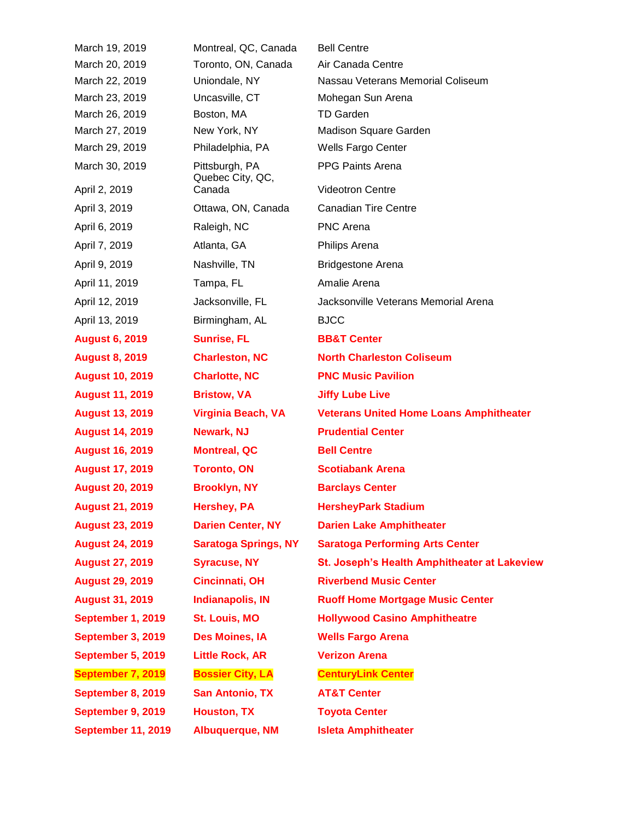| March 19, 2019                  | Montreal, QC, Canada                         | <b>Bell Centre</b>                             |
|---------------------------------|----------------------------------------------|------------------------------------------------|
| March 20, 2019                  | Toronto, ON, Canada                          | Air Canada Centre                              |
| March 22, 2019                  | Uniondale, NY                                | Nassau Veterans Memorial Coliseum              |
| March 23, 2019                  | Uncasville, CT                               | Mohegan Sun Arena                              |
| March 26, 2019                  | Boston, MA                                   | <b>TD Garden</b>                               |
| March 27, 2019                  | New York, NY                                 | Madison Square Garden                          |
| March 29, 2019                  | Philadelphia, PA                             | <b>Wells Fargo Center</b>                      |
| March 30, 2019<br>April 2, 2019 | Pittsburgh, PA<br>Quebec City, QC,<br>Canada | PPG Paints Arena<br><b>Videotron Centre</b>    |
|                                 |                                              |                                                |
| April 3, 2019                   | Ottawa, ON, Canada                           | <b>Canadian Tire Centre</b>                    |
| April 6, 2019                   | Raleigh, NC                                  | <b>PNC Arena</b>                               |
| April 7, 2019                   | Atlanta, GA                                  | Philips Arena                                  |
| April 9, 2019                   | Nashville, TN                                | <b>Bridgestone Arena</b>                       |
| April 11, 2019                  | Tampa, FL                                    | Amalie Arena                                   |
| April 12, 2019                  | Jacksonville, FL                             | Jacksonville Veterans Memorial Arena           |
| April 13, 2019                  | Birmingham, AL                               | <b>BJCC</b>                                    |
| <b>August 6, 2019</b>           | <b>Sunrise, FL</b>                           | <b>BB&amp;T Center</b>                         |
| <b>August 8, 2019</b>           | <b>Charleston, NC</b>                        | <b>North Charleston Coliseum</b>               |
| <b>August 10, 2019</b>          | <b>Charlotte, NC</b>                         | <b>PNC Music Pavilion</b>                      |
| <b>August 11, 2019</b>          | <b>Bristow, VA</b>                           | <b>Jiffy Lube Live</b>                         |
| <b>August 13, 2019</b>          | <b>Virginia Beach, VA</b>                    | <b>Veterans United Home Loans Amphitheater</b> |
| <b>August 14, 2019</b>          | <b>Newark, NJ</b>                            | <b>Prudential Center</b>                       |
| <b>August 16, 2019</b>          | <b>Montreal, QC</b>                          | <b>Bell Centre</b>                             |
| <b>August 17, 2019</b>          | <b>Toronto, ON</b>                           | <b>Scotiabank Arena</b>                        |
| <b>August 20, 2019</b>          | <b>Brooklyn, NY</b>                          | <b>Barclays Center</b>                         |
| <b>August 21, 2019</b>          | <b>Hershey, PA</b>                           | <b>HersheyPark Stadium</b>                     |
| <b>August 23, 2019</b>          | <b>Darien Center, NY</b>                     | <b>Darien Lake Amphitheater</b>                |
| <b>August 24, 2019</b>          | <b>Saratoga Springs, NY</b>                  | <b>Saratoga Performing Arts Center</b>         |
| <b>August 27, 2019</b>          | <b>Syracuse, NY</b>                          | St. Joseph's Health Amphitheater at Lakeview   |
| <b>August 29, 2019</b>          | <b>Cincinnati, OH</b>                        | <b>Riverbend Music Center</b>                  |
| <b>August 31, 2019</b>          | <b>Indianapolis, IN</b>                      | <b>Ruoff Home Mortgage Music Center</b>        |
| September 1, 2019               | St. Louis, MO                                | <b>Hollywood Casino Amphitheatre</b>           |
| September 3, 2019               | Des Moines, IA                               | <b>Wells Fargo Arena</b>                       |
| September 5, 2019               | <b>Little Rock, AR</b>                       | <b>Verizon Arena</b>                           |
| September 7, 2019               | <b>Bossier City, LA</b>                      | <b>CenturyLink Center</b>                      |
| September 8, 2019               | <b>San Antonio, TX</b>                       | <b>AT&amp;T Center</b>                         |
| September 9, 2019               | <b>Houston, TX</b>                           | <b>Toyota Center</b>                           |
| <b>September 11, 2019</b>       | <b>Albuquerque, NM</b>                       | <b>Isleta Amphitheater</b>                     |
|                                 |                                              |                                                |